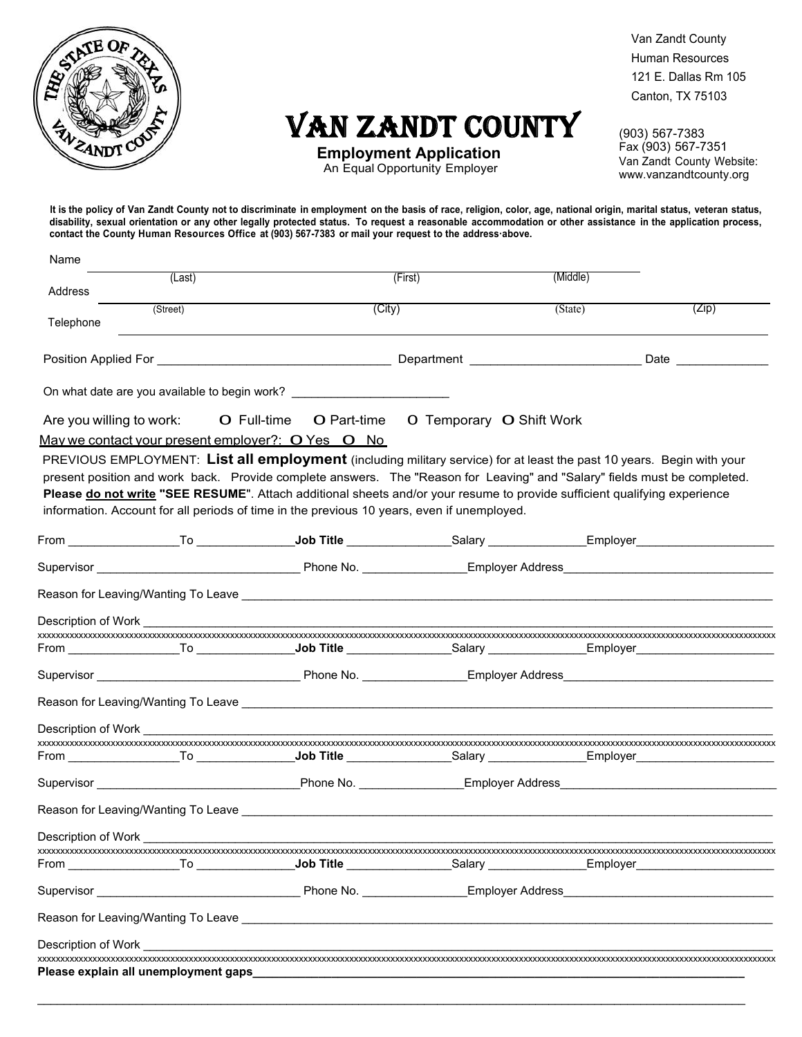

# VAN ZANDT COUNTY

**Employment Application**  An Equal Opportunity Employer

(903) 567-7383 Fax (903) 567-7351 Van Zandt County Website: www.vanzandtcounty.org

**It is the policy of Van Zandt County not to discriminate in employment on the basis of race, religion, color, age, national origin, marital status, veteran status, disability, sexual orientation or any other legally protected status. To request a reasonable accommodation or other assistance in the application process, contact the County Human Resources Office at (903) 567-7383 or mail your request to the addressꞏabove.**

| Name                     |                                      |                                                                                                                                                                                                                                                                                                                                                      |                                                           |                                          |       |
|--------------------------|--------------------------------------|------------------------------------------------------------------------------------------------------------------------------------------------------------------------------------------------------------------------------------------------------------------------------------------------------------------------------------------------------|-----------------------------------------------------------|------------------------------------------|-------|
| Address                  | (Last)                               |                                                                                                                                                                                                                                                                                                                                                      | (First)                                                   | (Middle)                                 |       |
|                          | (Street)                             | (City)                                                                                                                                                                                                                                                                                                                                               |                                                           | (State)                                  | (Zip) |
| Telephone                |                                      |                                                                                                                                                                                                                                                                                                                                                      |                                                           |                                          |       |
|                          |                                      |                                                                                                                                                                                                                                                                                                                                                      |                                                           |                                          |       |
|                          |                                      | On what date are you available to begin work? __________________________________                                                                                                                                                                                                                                                                     |                                                           |                                          |       |
| Are you willing to work: |                                      | O Full-time                                                                                                                                                                                                                                                                                                                                          | <b>O</b> Part-time <b>O</b> Temporary <b>O</b> Shift Work |                                          |       |
|                          |                                      | May we contact your present employer?: O Yes O No                                                                                                                                                                                                                                                                                                    |                                                           |                                          |       |
|                          |                                      | present position and work back. Provide complete answers. The "Reason for Leaving" and "Salary" fields must be completed.<br>Please do not write "SEE RESUME". Attach additional sheets and/or your resume to provide sufficient qualifying experience<br>information. Account for all periods of time in the previous 10 years, even if unemployed. |                                                           |                                          |       |
|                          |                                      |                                                                                                                                                                                                                                                                                                                                                      |                                                           |                                          |       |
|                          |                                      |                                                                                                                                                                                                                                                                                                                                                      |                                                           |                                          |       |
|                          |                                      |                                                                                                                                                                                                                                                                                                                                                      |                                                           |                                          |       |
|                          |                                      |                                                                                                                                                                                                                                                                                                                                                      |                                                           |                                          |       |
|                          |                                      |                                                                                                                                                                                                                                                                                                                                                      |                                                           |                                          |       |
|                          |                                      |                                                                                                                                                                                                                                                                                                                                                      |                                                           |                                          |       |
|                          |                                      |                                                                                                                                                                                                                                                                                                                                                      |                                                           |                                          |       |
|                          |                                      |                                                                                                                                                                                                                                                                                                                                                      |                                                           |                                          |       |
| Description of Work      |                                      |                                                                                                                                                                                                                                                                                                                                                      |                                                           |                                          |       |
|                          |                                      |                                                                                                                                                                                                                                                                                                                                                      |                                                           |                                          |       |
|                          |                                      |                                                                                                                                                                                                                                                                                                                                                      |                                                           |                                          |       |
|                          |                                      |                                                                                                                                                                                                                                                                                                                                                      |                                                           |                                          |       |
|                          |                                      |                                                                                                                                                                                                                                                                                                                                                      |                                                           |                                          |       |
| Description of Work      |                                      |                                                                                                                                                                                                                                                                                                                                                      |                                                           |                                          |       |
|                          |                                      | From ___________________To _____________ <b>_Job Title</b> ________________Salary _______________Employer_                                                                                                                                                                                                                                           |                                                           |                                          |       |
|                          |                                      |                                                                                                                                                                                                                                                                                                                                                      |                                                           | Employer Address <b>Employer Address</b> |       |
|                          |                                      |                                                                                                                                                                                                                                                                                                                                                      |                                                           |                                          |       |
| Description of Work      |                                      |                                                                                                                                                                                                                                                                                                                                                      |                                                           |                                          |       |
|                          | Please explain all unemployment gaps |                                                                                                                                                                                                                                                                                                                                                      |                                                           |                                          |       |
|                          |                                      |                                                                                                                                                                                                                                                                                                                                                      |                                                           |                                          |       |
|                          |                                      |                                                                                                                                                                                                                                                                                                                                                      |                                                           |                                          |       |

Van Zandt County Human Resources 121 E. Dallas Rm 105 Canton, TX 75103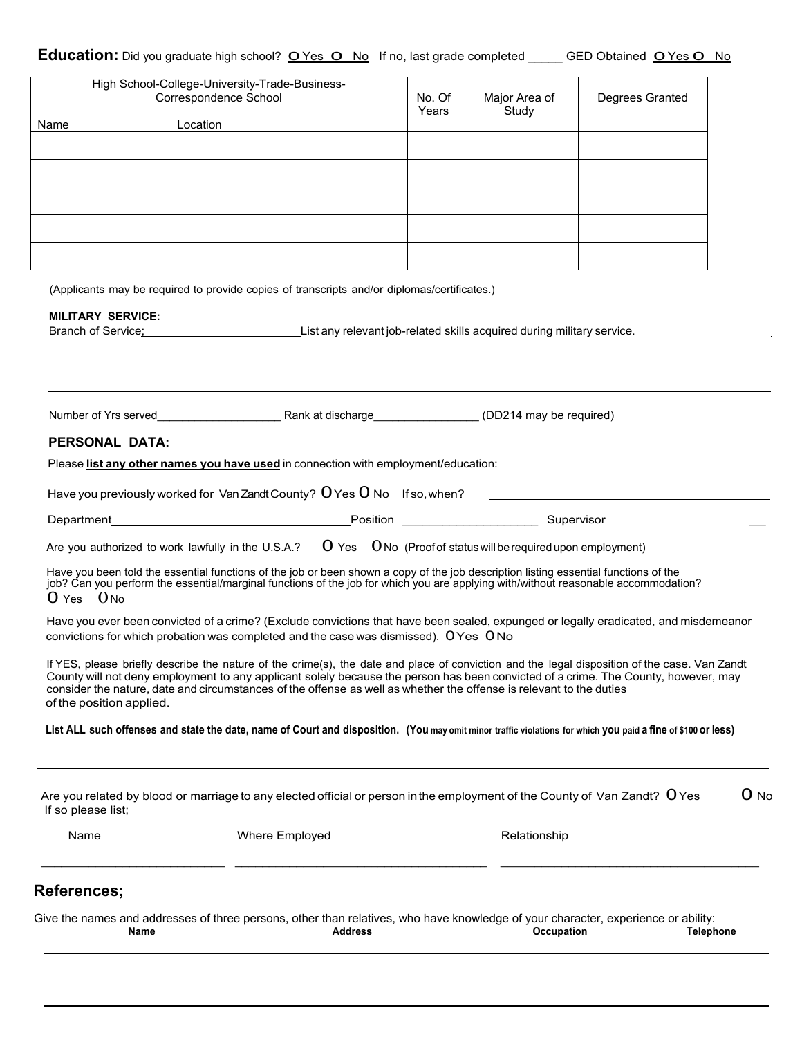| Name                     | Give the names and addresses of three persons, other than relatives, who have knowledge of your character, experience or ability:<br><b>Address</b>                                                                                                                                                                                                                                                        |        | Occupation    | <b>Telephone</b> |        |
|--------------------------|------------------------------------------------------------------------------------------------------------------------------------------------------------------------------------------------------------------------------------------------------------------------------------------------------------------------------------------------------------------------------------------------------------|--------|---------------|------------------|--------|
| <b>References;</b>       |                                                                                                                                                                                                                                                                                                                                                                                                            |        |               |                  |        |
| Name                     | Where Employed                                                                                                                                                                                                                                                                                                                                                                                             |        | Relationship  |                  |        |
| If so please list;       | Are you related by blood or marriage to any elected official or person in the employment of the County of Van Zandt? $\,$ O Yes                                                                                                                                                                                                                                                                            |        |               |                  | $0$ No |
|                          | List ALL such offenses and state the date, name of Court and disposition. (You may omit minor traffic violations for which you paid a fine of \$100 or less)                                                                                                                                                                                                                                               |        |               |                  |        |
| of the position applied. | If YES, please briefly describe the nature of the crime(s), the date and place of conviction and the legal disposition of the case. Van Zandt<br>County will not deny employment to any applicant solely because the person has been convicted of a crime. The County, however, may<br>consider the nature, date and circumstances of the offense as well as whether the offense is relevant to the duties |        |               |                  |        |
|                          | Have you ever been convicted of a crime? (Exclude convictions that have been sealed, expunged or legally eradicated, and misdemeanor<br>convictions for which probation was completed and the case was dismissed). OYes ONo                                                                                                                                                                                |        |               |                  |        |
| $0$ Yes $0$ No           | Have you been told the essential functions of the job or been shown a copy of the job description listing essential functions of the<br>job? Can you perform the essential/marginal functions of the job for which you are applyi                                                                                                                                                                          |        |               |                  |        |
|                          | Are you authorized to work lawfully in the U.S.A.? $\mathbf 0$ Yes $\mathbf 0$ No (Proof of status will be required upon employment)                                                                                                                                                                                                                                                                       |        |               |                  |        |
|                          |                                                                                                                                                                                                                                                                                                                                                                                                            |        |               |                  |        |
|                          |                                                                                                                                                                                                                                                                                                                                                                                                            |        |               |                  |        |
| <b>PERSONAL DATA:</b>    | Please list any other names you have used in connection with employment/education: ___________________________                                                                                                                                                                                                                                                                                             |        |               |                  |        |
|                          | Number of Yrs served <b>Example 20</b> Rank at discharge <b>Number of Yrs served CD214</b> may be required)                                                                                                                                                                                                                                                                                                |        |               |                  |        |
|                          | Branch of Service: List any relevant job-related skills acquired during military service.                                                                                                                                                                                                                                                                                                                  |        |               |                  |        |
| <b>MILITARY SERVICE:</b> |                                                                                                                                                                                                                                                                                                                                                                                                            |        |               |                  |        |
|                          | (Applicants may be required to provide copies of transcripts and/or diplomas/certificates.)                                                                                                                                                                                                                                                                                                                |        |               |                  |        |
|                          |                                                                                                                                                                                                                                                                                                                                                                                                            |        |               |                  |        |
|                          |                                                                                                                                                                                                                                                                                                                                                                                                            |        |               |                  |        |
|                          |                                                                                                                                                                                                                                                                                                                                                                                                            |        |               |                  |        |
|                          |                                                                                                                                                                                                                                                                                                                                                                                                            |        |               |                  |        |
| Name                     | Location                                                                                                                                                                                                                                                                                                                                                                                                   | Years  | Study         |                  |        |
|                          | Correspondence School                                                                                                                                                                                                                                                                                                                                                                                      | No. Of | Major Area of | Degrees Granted  |        |

<u> 1989 - Johann Stein, mars ar yn y brening yn y brening yn y brening y brening yn y brening yn y brening yn y</u>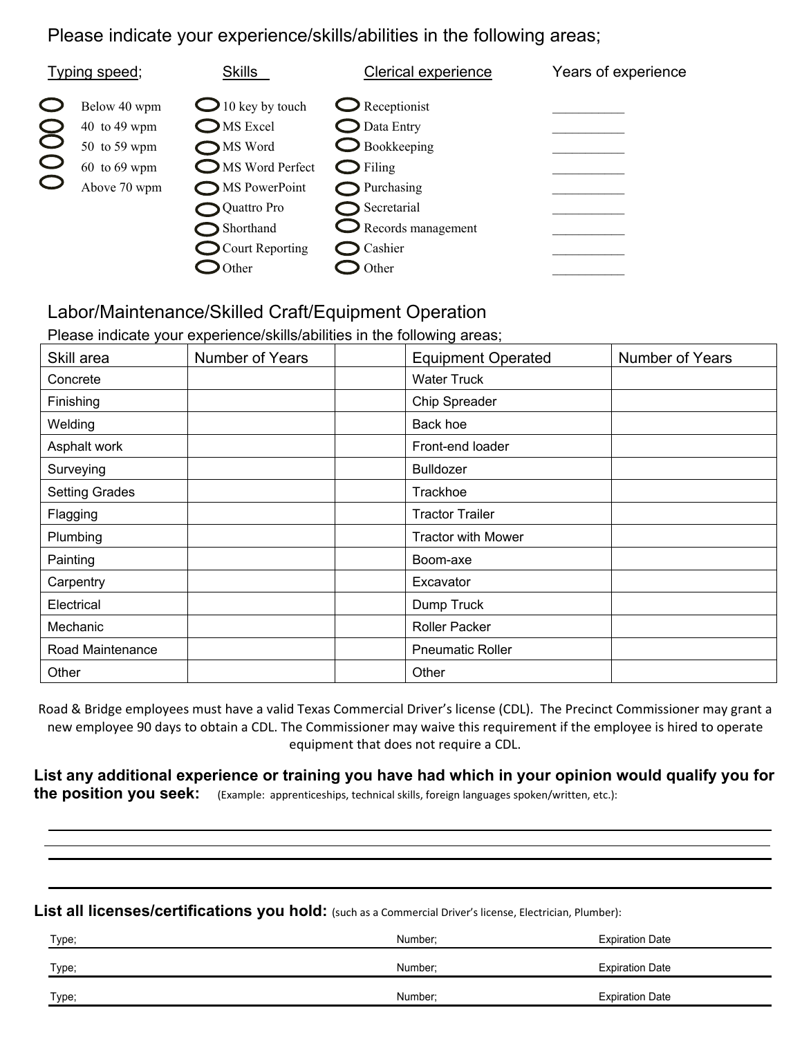#### Please indicate your experience/skills/abilities in the following areas;

| Typing speed;                                                                    | <b>Skills</b>                                                                                                                                          | <b>Clerical experience</b>                                                                                                                                   | Years of experience |
|----------------------------------------------------------------------------------|--------------------------------------------------------------------------------------------------------------------------------------------------------|--------------------------------------------------------------------------------------------------------------------------------------------------------------|---------------------|
| Below 40 wpm<br>40 to 49 wpm<br>50 to 59 wpm<br>$60$ to $69$ wpm<br>Above 70 wpm | $\bigcirc$ 10 key by touch<br>$\Box$ MS Excel<br>MS Word<br>MS Word Perfect<br>MS PowerPoint<br>Quattro Pro<br>Shorthand<br>$\bigcirc$ Court Reporting | $\bigcirc$ Receptionist<br>$\Box$ Data Entry<br>$\Box$ Bookkeeping<br>$\bigcirc$ Filing<br>Purchasing<br>Secretarial<br>$\sum$ Records management<br>Cashier |                     |
|                                                                                  | Other                                                                                                                                                  | Other                                                                                                                                                        |                     |

### Labor/Maintenance/Skilled Craft/Equipment Operation

Please indicate your experience/skills/abilities in the following areas;

| Skill area            | <b>Number of Years</b> | <b>Equipment Operated</b> | <b>Number of Years</b> |
|-----------------------|------------------------|---------------------------|------------------------|
| Concrete              |                        | <b>Water Truck</b>        |                        |
| Finishing             |                        | Chip Spreader             |                        |
| Welding               |                        | Back hoe                  |                        |
| Asphalt work          |                        | Front-end loader          |                        |
| Surveying             |                        | <b>Bulldozer</b>          |                        |
| <b>Setting Grades</b> |                        | Trackhoe                  |                        |
| Flagging              |                        | <b>Tractor Trailer</b>    |                        |
| Plumbing              |                        | <b>Tractor with Mower</b> |                        |
| Painting              |                        | Boom-axe                  |                        |
| Carpentry             |                        | Excavator                 |                        |
| Electrical            |                        | Dump Truck                |                        |
| Mechanic              |                        | <b>Roller Packer</b>      |                        |
| Road Maintenance      |                        | <b>Pneumatic Roller</b>   |                        |
| Other                 |                        | Other                     |                        |

Road & Bridge employees must have a valid Texas Commercial Driver's license (CDL). The Precinct Commissioner may grant a new employee 90 days to obtain a CDL. The Commissioner may waive this requirement if the employee is hired to operate equipment that does not require a CDL.

**List any additional experience or training you have had which in your opinion would qualify you for the position you seek:** (Example: apprenticeships, technical skills, foreign languages spoken/written, etc.):

List all licenses/certifications you hold: (such as a Commercial Driver's license, Electrician, Plumber):

| Type; | Number:             | <b>Expiration Date</b> |
|-------|---------------------|------------------------|
| Type; | <b>Number</b>       | <b>Expiration Date</b> |
| Type; | Number <sup>.</sup> | <b>Expiration Date</b> |